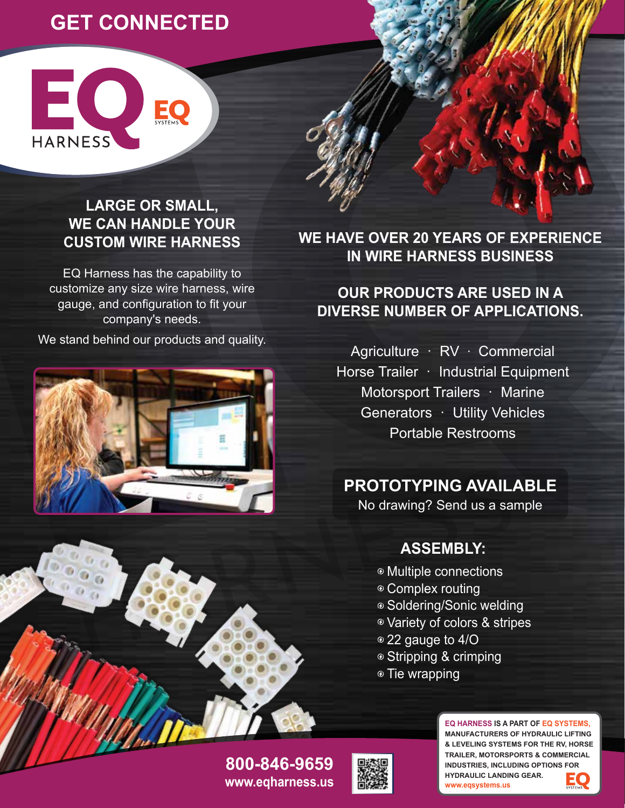# **GET CONNECTED**

EQ

**HARNESS** 

### **LARGE OR SMALL, WE CAN HANDLE YOUR CUSTOM WIRE HARNESS**

EO<sub>SYSTEMS</sub>

EQ Harness has the capability to customize any size wire harness, wire gauge, and configuration to fit your company's needs.

We stand behind our products and quality.



**WE HAVE OVER 20 YEARS OF EXPERIENCE IN WIRE HARNESS BUSINESS**

### **OUR PRODUCTS ARE USED IN A DIVERSE NUMBER OF APPLICATIONS.**

Agriculture · RV · Commercial Horse Trailer · Industrial Equipment Motorsport Trailers · Marine Generators · Utility Vehicles Portable Restrooms

# **PROTOTYPING AVAILABLE**

No drawing? Send us a sample

## **ASSEMBLY:**

- Multiple connections
- Complex routing
- Soldering/Sonic welding
- Variety of colors & stripes
- 22 gauge to 4/O
- Stripping & crimping
- <sup>®</sup> Tie wrapping

**EQ HARNESS IS A PART OF EQ SYSTEMS, MANUFACTURERS OF HYDRAULIC LIFTING & LEVELING SYSTEMS FOR THE RV, HORSE TRAILER, MOTORSPORTS & COMMERCIAL INDUSTRIES, INCLUDING OPTIONS FOR HYDRAULIC LANDING GEAR. www.eqsystems.us**

**www.eqharness.us 800-846-9659**